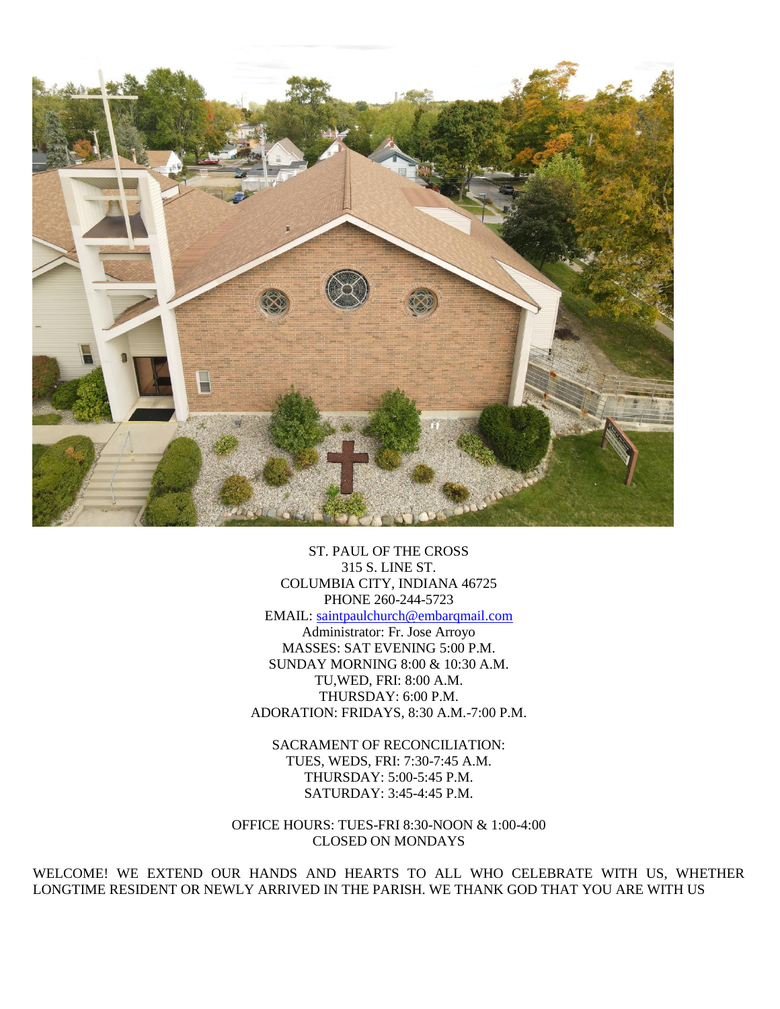

ST. PAUL OF THE CROSS 315 S. LINE ST. COLUMBIA CITY, INDIANA 46725 PHONE 260-244-5723 EMAIL: [saintpaulchurch@embarqmail.com](mailto:saintpaulchurch@embarqmail.com) Administrator: Fr. Jose Arroyo MASSES: SAT EVENING 5:00 P.M. SUNDAY MORNING 8:00 & 10:30 A.M. TU,WED, FRI: 8:00 A.M. THURSDAY: 6:00 P.M. ADORATION: FRIDAYS, 8:30 A.M.-7:00 P.M.

SACRAMENT OF RECONCILIATION: TUES, WEDS, FRI: 7:30-7:45 A.M. THURSDAY: 5:00-5:45 P.M. SATURDAY: 3:45-4:45 P.M.

OFFICE HOURS: TUES-FRI 8:30-NOON & 1:00-4:00 CLOSED ON MONDAYS

WELCOME! WE EXTEND OUR HANDS AND HEARTS TO ALL WHO CELEBRATE WITH US, WHETHER LONGTIME RESIDENT OR NEWLY ARRIVED IN THE PARISH. WE THANK GOD THAT YOU ARE WITH US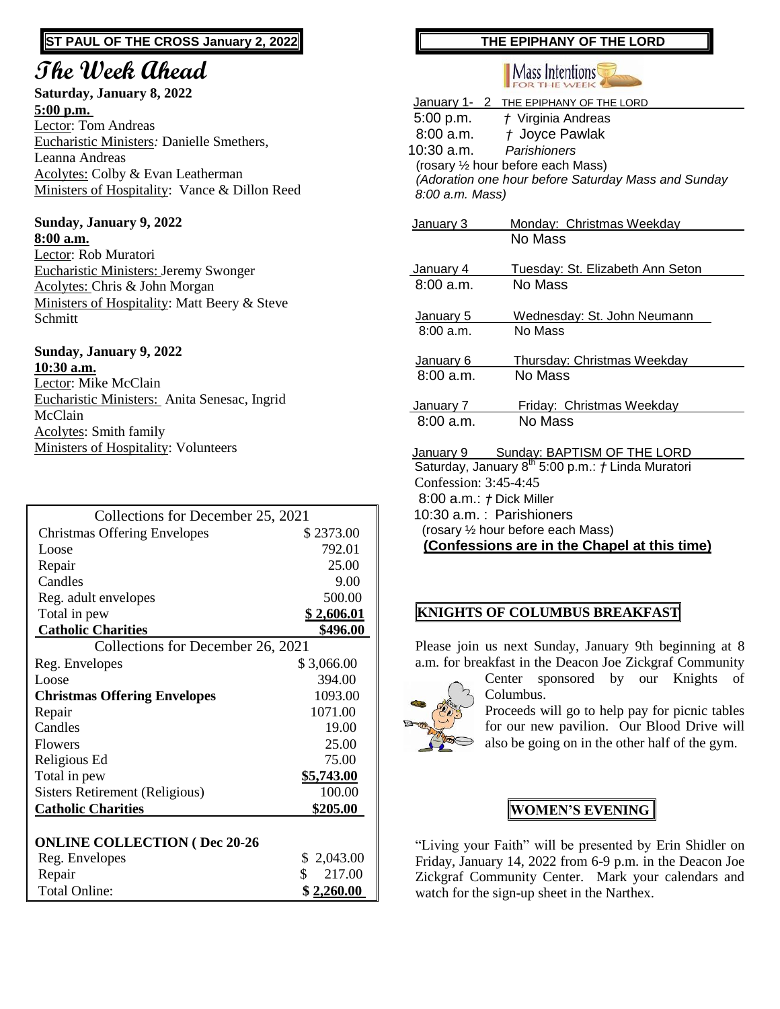## **ST PAUL OF THE CROSS January 2, 2022**

# **The Week Ahead**

#### **Saturday, January 8, 2022 5:00 p.m.**

Lector: Tom Andreas Eucharistic Ministers*:* Danielle Smethers, Leanna Andreas Acolytes: Colby & Evan Leatherman Ministers of Hospitality: Vance & Dillon Reed

#### **Sunday, January 9, 2022 8:00 a.m.**

Lector: Rob Muratori Eucharistic Ministers: Jeremy Swonger Acolytes: Chris & John Morgan Ministers of Hospitality: Matt Beery & Steve Schmitt

#### **Sunday, January 9, 2022 10:30 a.m.**

Lector: Mike McClain Eucharistic Ministers: Anita Senesac, Ingrid McClain Acolytes: Smith family Ministers of Hospitality: Volunteers

| Collections for December 25, 2021    |                   |  |
|--------------------------------------|-------------------|--|
| <b>Christmas Offering Envelopes</b>  | \$2373.00         |  |
| Loose                                | 792.01            |  |
| Repair                               | 25.00             |  |
| Candles                              | 9.00              |  |
| Reg. adult envelopes                 | 500.00            |  |
| Total in pew                         | <u>\$2,606.01</u> |  |
| <b>Catholic Charities</b>            | \$496.00          |  |
| Collections for December 26, 2021    |                   |  |
| Reg. Envelopes                       | \$3,066.00        |  |
| Loose                                | 394.00            |  |
| <b>Christmas Offering Envelopes</b>  | 1093.00           |  |
| Repair                               | 1071.00           |  |
| Candles                              | 19.00             |  |
| <b>Flowers</b>                       | 25.00             |  |
| Religious Ed                         | 75.00             |  |
| Total in pew                         | \$5,743.00        |  |
| Sisters Retirement (Religious)       | 100.00            |  |
| <b>Catholic Charities</b>            | \$205.00          |  |
|                                      |                   |  |
| <b>ONLINE COLLECTION (Dec 20-26)</b> |                   |  |
| Reg. Envelopes                       | 2,043.00<br>S     |  |
| Repair                               | \$<br>217.00      |  |
| <b>Total Online:</b>                 | \$2,260.00        |  |

# **THE EPIPHANY OF THE LORD**



|                                              | January 1- 2 THE EPIPHANY OF THE LORD                                |  |
|----------------------------------------------|----------------------------------------------------------------------|--|
|                                              | 5:00 p.m. <i>† Virginia Andreas</i>                                  |  |
| 8:00 a.m.                                    | t Joyce Pawlak                                                       |  |
| 10:30 a.m.                                   | Parishioners                                                         |  |
|                                              | (rosary 1/2 hour before each Mass)                                   |  |
|                                              | (Adoration one hour before Saturday Mass and Sunday                  |  |
| 8:00 a.m. Mass)                              |                                                                      |  |
|                                              |                                                                      |  |
| January 3                                    | Monday: Christmas Weekday<br>No Mass                                 |  |
|                                              |                                                                      |  |
| January 4                                    | Tuesday: St. Elizabeth Ann Seton                                     |  |
| 8:00a.m.                                     | No Mass                                                              |  |
|                                              |                                                                      |  |
| January 5                                    | Wednesday: St. John Neumann                                          |  |
| 8:00a.m.                                     | No Mass                                                              |  |
|                                              |                                                                      |  |
| January 6                                    | Thursday: Christmas Weekday                                          |  |
| 8:00a.m.                                     | No Mass                                                              |  |
| January 7                                    | Friday: Christmas Weekday                                            |  |
| 8:00a.m.                                     | No Mass                                                              |  |
|                                              |                                                                      |  |
|                                              | January 9 Sunday: BAPTISM OF THE LORD                                |  |
|                                              | Saturday, January 8 <sup>th</sup> 5:00 p.m.: <i>†</i> Linda Muratori |  |
| Confession: $3:45-4:45$                      |                                                                      |  |
| $8:00$ a.m.: $\uparrow$ Dick Miller          |                                                                      |  |
|                                              | 10:30 a.m.: Parishioners                                             |  |
|                                              | (rosary 1/2 hour before each Mass)                                   |  |
| (Confessions are in the Chapel at this time) |                                                                      |  |

# **KNIGHTS OF COLUMBUS BREAKFAST**

Please join us next Sunday, January 9th beginning at 8 a.m. for breakfast in the Deacon Joe Zickgraf Community



Center sponsored by our Knights of Columbus.

Proceeds will go to help pay for picnic tables for our new pavilion. Our Blood Drive will also be going on in the other half of the gym.

# **WOMEN'S EVENING**

"Living your Faith" will be presented by Erin Shidler on Friday, January 14, 2022 from 6-9 p.m. in the Deacon Joe Zickgraf Community Center. Mark your calendars and watch for the sign-up sheet in the Narthex.